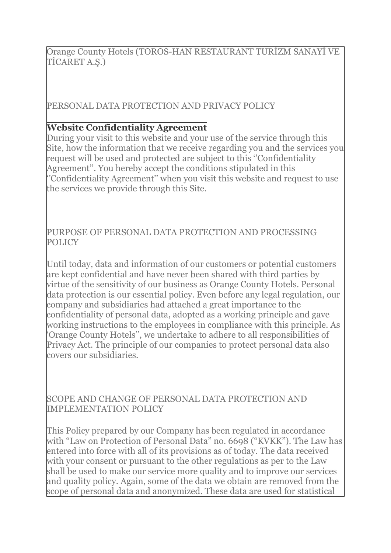Orange County Hotels (TOROS-HAN RESTAURANT TURİZM SANAYİ VE TİCARET A.Ş.)

PERSONAL DATA PROTECTION AND PRIVACY POLICY

# **Website Confidentiality Agreement**

During your visit to this website and your use of the service through this Site, how the information that we receive regarding you and the services you request will be used and protected are subject to this ''Confidentiality Agreement''. You hereby accept the conditions stipulated in this ''Confidentiality Agreement'' when you visit this website and request to use the services we provide through this Site.

PURPOSE OF PERSONAL DATA PROTECTION AND PROCESSING POLICY

Until today, data and information of our customers or potential customers are kept confidential and have never been shared with third parties by virtue of the sensitivity of our business as Orange County Hotels. Personal data protection is our essential policy. Even before any legal regulation, our company and subsidiaries had attached a great importance to the confidentiality of personal data, adopted as a working principle and gave working instructions to the employees in compliance with this principle. As 'Orange County Hotels'', we undertake to adhere to all responsibilities of Privacy Act. The principle of our companies to protect personal data also covers our subsidiaries.

### SCOPE AND CHANGE OF PERSONAL DATA PROTECTION AND IMPLEMENTATION POLICY

This Policy prepared by our Company has been regulated in accordance with "Law on Protection of Personal Data" no. 6698 ("KVKK"). The Law has entered into force with all of its provisions as of today. The data received with your consent or pursuant to the other regulations as per to the Law shall be used to make our service more quality and to improve our services and quality policy. Again, some of the data we obtain are removed from the scope of personal data and anonymized. These data are used for statistical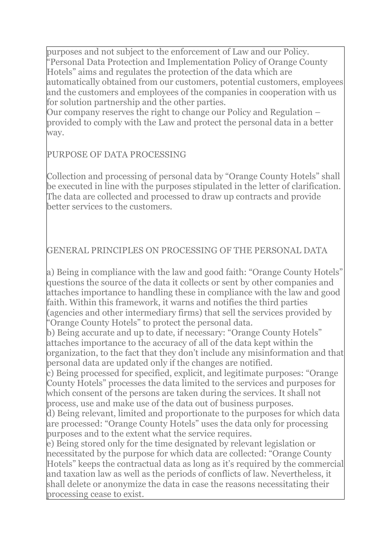purposes and not subject to the enforcement of Law and our Policy. "Personal Data Protection and Implementation Policy of Orange County Hotels" aims and regulates the protection of the data which are automatically obtained from our customers, potential customers, employees and the customers and employees of the companies in cooperation with us for solution partnership and the other parties.

Our company reserves the right to change our Policy and Regulation – provided to comply with the Law and protect the personal data in a better way.

PURPOSE OF DATA PROCESSING

Collection and processing of personal data by "Orange County Hotels" shall be executed in line with the purposes stipulated in the letter of clarification. The data are collected and processed to draw up contracts and provide better services to the customers.

## GENERAL PRINCIPLES ON PROCESSING OF THE PERSONAL DATA

a) Being in compliance with the law and good faith: "Orange County Hotels" questions the source of the data it collects or sent by other companies and attaches importance to handling these in compliance with the law and good faith. Within this framework, it warns and notifies the third parties (agencies and other intermediary firms) that sell the services provided by "Orange County Hotels" to protect the personal data.

b) Being accurate and up to date, if necessary: "Orange County Hotels" attaches importance to the accuracy of all of the data kept within the organization, to the fact that they don't include any misinformation and that personal data are updated only if the changes are notified.

c) Being processed for specified, explicit, and legitimate purposes: "Orange County Hotels" processes the data limited to the services and purposes for which consent of the persons are taken during the services. It shall not process, use and make use of the data out of business purposes.

d) Being relevant, limited and proportionate to the purposes for which data are processed: "Orange County Hotels" uses the data only for processing purposes and to the extent what the service requires.

e) Being stored only for the time designated by relevant legislation or necessitated by the purpose for which data are collected: "Orange County Hotels" keeps the contractual data as long as it's required by the commercial and taxation law as well as the periods of conflicts of law. Nevertheless, it shall delete or anonymize the data in case the reasons necessitating their processing cease to exist.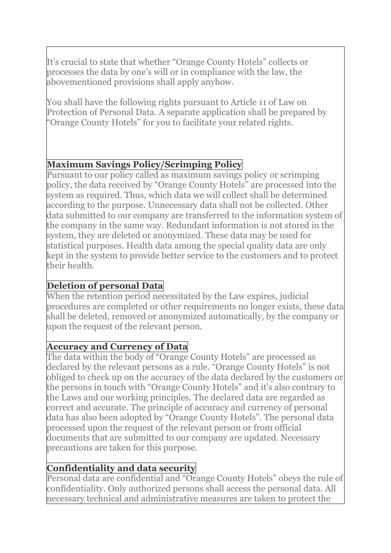It's crucial to state that whether "Orange County Hotels" collects or processes the data by one's will or in compliance with the law, the abovementioned provisions shall apply anyhow.

You shall have the following rights pursuant to Article 11 of Law on Protection of Personal Data. A separate application shall be prepared by "Orange County Hotels" for you to facilitate your related rights.

## **Maximum Savings Policy/Scrimping Policy**

Pursuant to our policy called as maximum savings policy or scrimping policy, the data received by "Orange County Hotels" are processed into the system as required. Thus, which data we will collect shall be determined according to the purpose. Unnecessary data shall not be collected. Other data submitted to our company are transferred to the information system of the company in the same way. Redundant information is not stored in the system, they are deleted or anonymized. These data may be used for statistical purposes. Health data among the special quality data are only kept in the system to provide better service to the customers and to protect their health.

## **Deletion of personal Data**

When the retention period necessitated by the Law expires, judicial procedures are completed or other requirements no longer exists, these data shall be deleted, removed or anonymized automatically, by the company or upon the request of the relevant person.

# **Accuracy and Currency of Data**

The data within the body of "Orange County Hotels" are processed as declared by the relevant persons as a rule. "Orange County Hotels" is not obliged to check up on the accuracy of the data declared by the customers or the persons in touch with "Orange County Hotels" and it's also contrary to the Laws and our working principles. The declared data are regarded as correct and accurate. The principle of accuracy and currency of personal data has also been adopted by "Orange County Hotels". The personal data processed upon the request of the relevant person or from official documents that are submitted to our company are updated. Necessary precautions are taken for this purpose.

# **Confidentiality and data security**

Personal data are confidential and "Orange County Hotels" obeys the rule of confidentiality. Only authorized persons shall access the personal data. All necessary technical and administrative measures are taken to protect the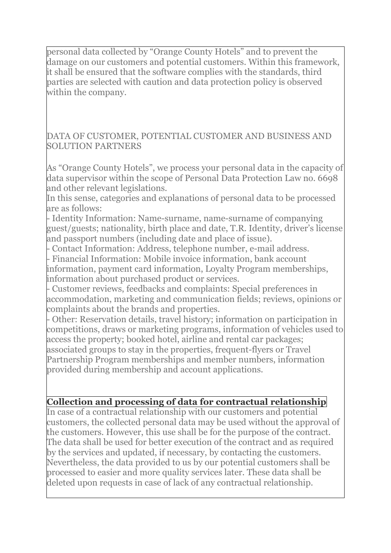personal data collected by "Orange County Hotels" and to prevent the damage on our customers and potential customers. Within this framework, it shall be ensured that the software complies with the standards, third parties are selected with caution and data protection policy is observed within the company.

### DATA OF CUSTOMER, POTENTIAL CUSTOMER AND BUSINESS AND SOLUTION PARTNERS

As "Orange County Hotels", we process your personal data in the capacity of data supervisor within the scope of Personal Data Protection Law no. 6698 and other relevant legislations.

In this sense, categories and explanations of personal data to be processed are as follows:

- Identity Information: Name-surname, name-surname of companying guest/guests; nationality, birth place and date, T.R. Identity, driver's license and passport numbers (including date and place of issue).

- Contact Information: Address, telephone number, e-mail address.

- Financial Information: Mobile invoice information, bank account information, payment card information, Loyalty Program memberships, information about purchased product or services.

- Customer reviews, feedbacks and complaints: Special preferences in accommodation, marketing and communication fields; reviews, opinions or complaints about the brands and properties.

- Other: Reservation details, travel history; information on participation in competitions, draws or marketing programs, information of vehicles used to access the property; booked hotel, airline and rental car packages; associated groups to stay in the properties, frequent-flyers or Travel Partnership Program memberships and member numbers, information provided during membership and account applications.

# **Collection and processing of data for contractual relationship**

In case of a contractual relationship with our customers and potential customers, the collected personal data may be used without the approval of the customers. However, this use shall be for the purpose of the contract. The data shall be used for better execution of the contract and as required by the services and updated, if necessary, by contacting the customers. Nevertheless, the data provided to us by our potential customers shall be processed to easier and more quality services later. These data shall be deleted upon requests in case of lack of any contractual relationship.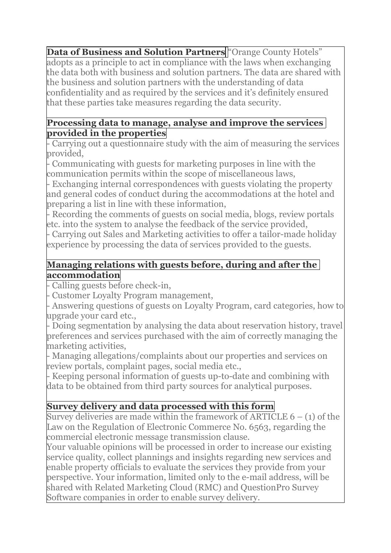**Data of Business and Solution Partners** "Orange County Hotels" adopts as a principle to act in compliance with the laws when exchanging the data both with business and solution partners. The data are shared with the business and solution partners with the understanding of data confidentiality and as required by the services and it's definitely ensured that these parties take measures regarding the data security.

### **Processing data to manage, analyse and improve the services provided in the properties**

- Carrying out a questionnaire study with the aim of measuring the services provided,

- Communicating with guests for marketing purposes in line with the communication permits within the scope of miscellaneous laws,

- Exchanging internal correspondences with guests violating the property and general codes of conduct during the accommodations at the hotel and preparing a list in line with these information,

- Recording the comments of guests on social media, blogs, review portals etc. into the system to analyse the feedback of the service provided,

- Carrying out Sales and Marketing activities to offer a tailor-made holiday experience by processing the data of services provided to the guests.

### **Managing relations with guests before, during and after the accommodation**

- Calling guests before check-in,

- Customer Loyalty Program management,

- Answering questions of guests on Loyalty Program, card categories, how to upgrade your card etc.,

- Doing segmentation by analysing the data about reservation history, travel preferences and services purchased with the aim of correctly managing the marketing activities,

- Managing allegations/complaints about our properties and services on review portals, complaint pages, social media etc.,

- Keeping personal information of guests up-to-date and combining with data to be obtained from third party sources for analytical purposes.

# **Survey delivery and data processed with this form**

Survey deliveries are made within the framework of ARTICLE  $6 - (1)$  of the Law on the Regulation of Electronic Commerce No. 6563, regarding the commercial electronic message transmission clause.

Your valuable opinions will be processed in order to increase our existing service quality, collect plannings and insights regarding new services and enable property officials to evaluate the services they provide from your perspective. Your information, limited only to the e-mail address, will be shared with Related Marketing Cloud (RMC) and QuestionPro Survey Software companies in order to enable survey delivery.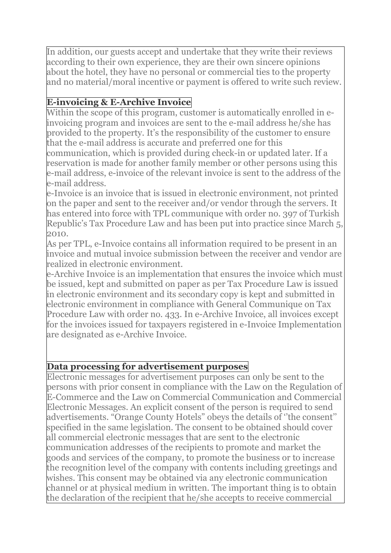In addition, our guests accept and undertake that they write their reviews according to their own experience, they are their own sincere opinions about the hotel, they have no personal or commercial ties to the property and no material/moral incentive or payment is offered to write such review.

# **E-invoicing & E-Archive Invoice**

Within the scope of this program, customer is automatically enrolled in einvoicing program and invoices are sent to the e-mail address he/she has provided to the property. It's the responsibility of the customer to ensure that the e-mail address is accurate and preferred one for this

communication, which is provided during check-in or updated later. If a reservation is made for another family member or other persons using this e-mail address, e-invoice of the relevant invoice is sent to the address of the e-mail address.

e-Invoice is an invoice that is issued in electronic environment, not printed on the paper and sent to the receiver and/or vendor through the servers. It has entered into force with TPL communique with order no. 397 of Turkish Republic's Tax Procedure Law and has been put into practice since March 5, 2010.

As per TPL, e-Invoice contains all information required to be present in an invoice and mutual invoice submission between the receiver and vendor are realized in electronic environment.

e-Archive Invoice is an implementation that ensures the invoice which must be issued, kept and submitted on paper as per Tax Procedure Law is issued in electronic environment and its secondary copy is kept and submitted in electronic environment in compliance with General Communique on Tax Procedure Law with order no. 433. In e-Archive Invoice, all invoices except for the invoices issued for taxpayers registered in e-Invoice Implementation are designated as e-Archive Invoice.

# **Data processing for advertisement purposes**

Electronic messages for advertisement purposes can only be sent to the persons with prior consent in compliance with the Law on the Regulation of E-Commerce and the Law on Commercial Communication and Commercial Electronic Messages. An explicit consent of the person is required to send advertisements. "Orange County Hotels" obeys the details of ''the consent'' specified in the same legislation. The consent to be obtained should cover all commercial electronic messages that are sent to the electronic communication addresses of the recipients to promote and market the goods and services of the company, to promote the business or to increase the recognition level of the company with contents including greetings and wishes. This consent may be obtained via any electronic communication channel or at physical medium in written. The important thing is to obtain the declaration of the recipient that he/she accepts to receive commercial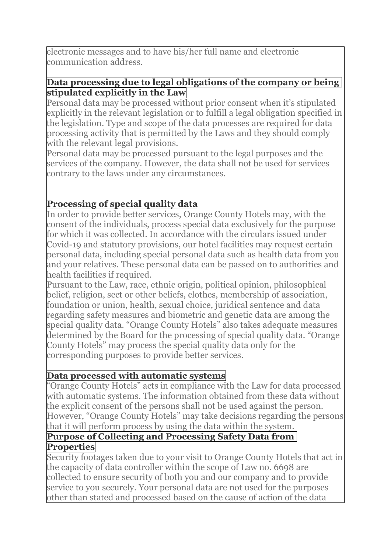electronic messages and to have his/her full name and electronic communication address.

## **Data processing due to legal obligations of the company or being stipulated explicitly in the Law**

Personal data may be processed without prior consent when it's stipulated explicitly in the relevant legislation or to fulfill a legal obligation specified in the legislation. Type and scope of the data processes are required for data processing activity that is permitted by the Laws and they should comply with the relevant legal provisions.

Personal data may be processed pursuant to the legal purposes and the services of the company. However, the data shall not be used for services contrary to the laws under any circumstances.

# **Processing of special quality data**

In order to provide better services, Orange County Hotels may, with the consent of the individuals, process special data exclusively for the purpose for which it was collected. In accordance with the circulars issued under Covid-19 and statutory provisions, our hotel facilities may request certain personal data, including special personal data such as health data from you and your relatives. These personal data can be passed on to authorities and health facilities if required.

Pursuant to the Law, race, ethnic origin, political opinion, philosophical belief, religion, sect or other beliefs, clothes, membership of association, foundation or union, health, sexual choice, juridical sentence and data regarding safety measures and biometric and genetic data are among the special quality data. "Orange County Hotels" also takes adequate measures determined by the Board for the processing of special quality data. "Orange County Hotels" may process the special quality data only for the corresponding purposes to provide better services.

### **Data processed with automatic systems**

"Orange County Hotels" acts in compliance with the Law for data processed with automatic systems. The information obtained from these data without the explicit consent of the persons shall not be used against the person. However, "Orange County Hotels" may take decisions regarding the persons that it will perform process by using the data within the system.

### **Purpose of Collecting and Processing Safety Data from Properties**

Security footages taken due to your visit to Orange County Hotels that act in the capacity of data controller within the scope of Law no. 6698 are collected to ensure security of both you and our company and to provide service to you securely. Your personal data are not used for the purposes other than stated and processed based on the cause of action of the data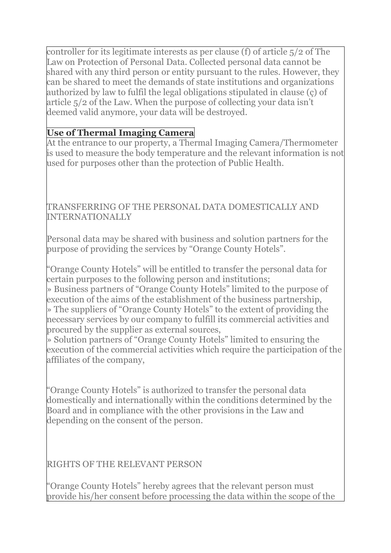controller for its legitimate interests as per clause (f) of article 5/2 of The Law on Protection of Personal Data. Collected personal data cannot be shared with any third person or entity pursuant to the rules. However, they can be shared to meet the demands of state institutions and organizations authorized by law to fulfil the legal obligations stipulated in clause (ç) of article 5/2 of the Law. When the purpose of collecting your data isn't deemed valid anymore, your data will be destroyed.

## **Use of Thermal Imaging Camera**

At the entrance to our property, a Thermal Imaging Camera/Thermometer is used to measure the body temperature and the relevant information is not used for purposes other than the protection of Public Health.

TRANSFERRING OF THE PERSONAL DATA DOMESTICALLY AND INTERNATIONALLY

Personal data may be shared with business and solution partners for the purpose of providing the services by "Orange County Hotels".

"Orange County Hotels" will be entitled to transfer the personal data for certain purposes to the following person and institutions; » Business partners of "Orange County Hotels" limited to the purpose of

execution of the aims of the establishment of the business partnership, » The suppliers of "Orange County Hotels" to the extent of providing the necessary services by our company to fulfill its commercial activities and procured by the supplier as external sources,

» Solution partners of "Orange County Hotels" limited to ensuring the execution of the commercial activities which require the participation of the affiliates of the company,

"Orange County Hotels" is authorized to transfer the personal data domestically and internationally within the conditions determined by the Board and in compliance with the other provisions in the Law and depending on the consent of the person.

RIGHTS OF THE RELEVANT PERSON

"Orange County Hotels" hereby agrees that the relevant person must provide his/her consent before processing the data within the scope of the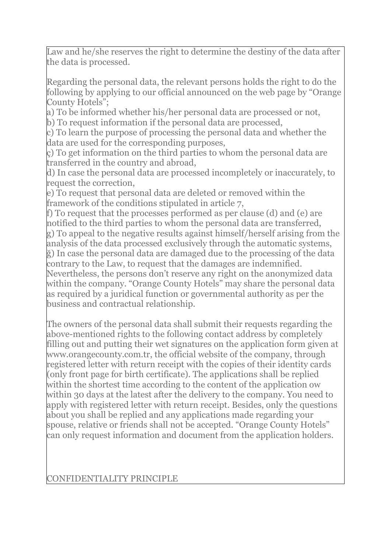Law and he/she reserves the right to determine the destiny of the data after the data is processed.

Regarding the personal data, the relevant persons holds the right to do the following by applying to our official announced on the web page by "Orange County Hotels";

a) To be informed whether his/her personal data are processed or not, b) To request information if the personal data are processed,

c) To learn the purpose of processing the personal data and whether the data are used for the corresponding purposes,

ç) To get information on the third parties to whom the personal data are transferred in the country and abroad,

d) In case the personal data are processed incompletely or inaccurately, to request the correction,

e) To request that personal data are deleted or removed within the framework of the conditions stipulated in article 7,

f) To request that the processes performed as per clause (d) and (e) are notified to the third parties to whom the personal data are transferred, g) To appeal to the negative results against himself/herself arising from the analysis of the data processed exclusively through the automatic systems, ğ) In case the personal data are damaged due to the processing of the data contrary to the Law, to request that the damages are indemnified. Nevertheless, the persons don't reserve any right on the anonymized data within the company. "Orange County Hotels" may share the personal data as required by a juridical function or governmental authority as per the business and contractual relationship.

The owners of the personal data shall submit their requests regarding the above-mentioned rights to the following contact address by completely filling out and putting their wet signatures on the application form given at www.orangecounty.com.tr, the official website of the company, through registered letter with return receipt with the copies of their identity cards (only front page for birth certificate). The applications shall be replied within the shortest time according to the content of the application ow within 30 days at the latest after the delivery to the company. You need to apply with registered letter with return receipt. Besides, only the questions about you shall be replied and any applications made regarding your spouse, relative or friends shall not be accepted. "Orange County Hotels" can only request information and document from the application holders.

CONFIDENTIALITY PRINCIPLE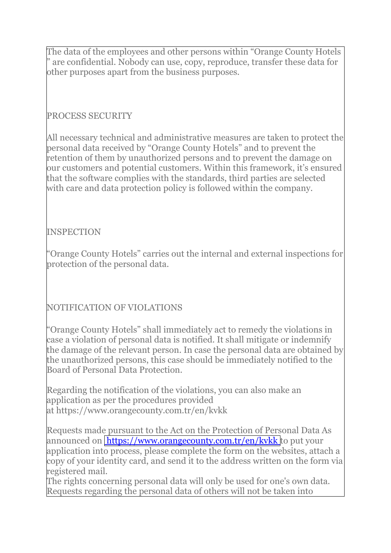The data of the employees and other persons within "Orange County Hotels " are confidential. Nobody can use, copy, reproduce, transfer these data for other purposes apart from the business purposes.

## PROCESS SECURITY

All necessary technical and administrative measures are taken to protect the personal data received by "Orange County Hotels" and to prevent the retention of them by unauthorized persons and to prevent the damage on our customers and potential customers. Within this framework, it's ensured that the software complies with the standards, third parties are selected with care and data protection policy is followed within the company.

## INSPECTION

"Orange County Hotels" carries out the internal and external inspections for protection of the personal data.

## NOTIFICATION OF VIOLATIONS

"Orange County Hotels" shall immediately act to remedy the violations in case a violation of personal data is notified. It shall mitigate or indemnify the damage of the relevant person. In case the personal data are obtained by the unauthorized persons, this case should be immediately notified to the Board of Personal Data Protection.

Regarding the notification of the violations, you can also make an application as per the procedures provided at https://www.orangecounty.com.tr/en/kvkk

Requests made pursuant to the Act on the Protection of Personal Data As announced on<https://www.orangecounty.com.tr/en/kvkk> to put your application into process, please complete the form on the websites, attach a copy of your identity card, and send it to the address written on the form via registered mail.

The rights concerning personal data will only be used for one's own data. Requests regarding the personal data of others will not be taken into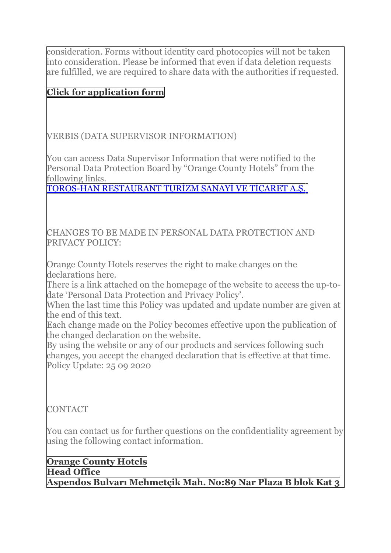consideration. Forms without identity card photocopies will not be taken into consideration. Please be informed that even if data deletion requests are fulfilled, we are required to share data with the authorities if requested.

**[Click for application form](https://www.orangecounty.com.tr/GPDRapplicationform_en.pdf)**

VERBIS (DATA SUPERVISOR INFORMATION)

You can access Data Supervisor Information that were notified to the Personal Data Protection Board by "Orange County Hotels" from the following links.

 [TOROS-HAN RESTAURANT TURİZM SANAYİ VE TİCARET A.Ş.](https://www.eticaret.gov.tr/siteprofil/1437543054441224/wwworangecountycomtr)

CHANGES TO BE MADE IN PERSONAL DATA PROTECTION AND PRIVACY POLICY:

Orange County Hotels reserves the right to make changes on the declarations here.

There is a link attached on the homepage of the website to access the up-todate 'Personal Data Protection and Privacy Policy'.

When the last time this Policy was updated and update number are given at the end of this text.

Each change made on the Policy becomes effective upon the publication of the changed declaration on the website.

By using the website or any of our products and services following such changes, you accept the changed declaration that is effective at that time. Policy Update: 25 09 2020

**CONTACT** 

You can contact us for further questions on the confidentiality agreement by using the following contact information.

**Orange County Hotels Head Office Aspendos Bulvarı Mehmetçik Mah. No:89 Nar Plaza B blok Kat 3**